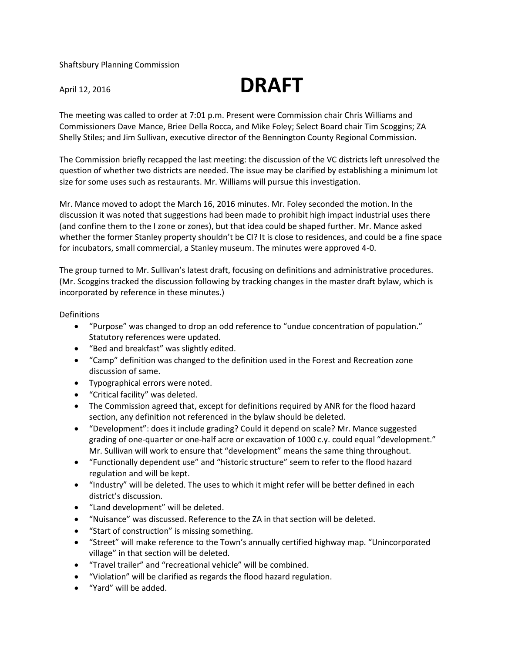Shaftsbury Planning Commission



The meeting was called to order at 7:01 p.m. Present were Commission chair Chris Williams and Commissioners Dave Mance, Briee Della Rocca, and Mike Foley; Select Board chair Tim Scoggins; ZA Shelly Stiles; and Jim Sullivan, executive director of the Bennington County Regional Commission.

The Commission briefly recapped the last meeting: the discussion of the VC districts left unresolved the question of whether two districts are needed. The issue may be clarified by establishing a minimum lot size for some uses such as restaurants. Mr. Williams will pursue this investigation.

Mr. Mance moved to adopt the March 16, 2016 minutes. Mr. Foley seconded the motion. In the discussion it was noted that suggestions had been made to prohibit high impact industrial uses there (and confine them to the I zone or zones), but that idea could be shaped further. Mr. Mance asked whether the former Stanley property shouldn't be CI? It is close to residences, and could be a fine space for incubators, small commercial, a Stanley museum. The minutes were approved 4-0.

The group turned to Mr. Sullivan's latest draft, focusing on definitions and administrative procedures. (Mr. Scoggins tracked the discussion following by tracking changes in the master draft bylaw, which is incorporated by reference in these minutes.)

## Definitions

- "Purpose" was changed to drop an odd reference to "undue concentration of population." Statutory references were updated.
- "Bed and breakfast" was slightly edited.
- "Camp" definition was changed to the definition used in the Forest and Recreation zone discussion of same.
- Typographical errors were noted.
- "Critical facility" was deleted.
- The Commission agreed that, except for definitions required by ANR for the flood hazard section, any definition not referenced in the bylaw should be deleted.
- "Development": does it include grading? Could it depend on scale? Mr. Mance suggested grading of one-quarter or one-half acre or excavation of 1000 c.y. could equal "development." Mr. Sullivan will work to ensure that "development" means the same thing throughout.
- "Functionally dependent use" and "historic structure" seem to refer to the flood hazard regulation and will be kept.
- "Industry" will be deleted. The uses to which it might refer will be better defined in each district's discussion.
- "Land development" will be deleted.
- "Nuisance" was discussed. Reference to the ZA in that section will be deleted.
- "Start of construction" is missing something.
- "Street" will make reference to the Town's annually certified highway map. "Unincorporated village" in that section will be deleted.
- "Travel trailer" and "recreational vehicle" will be combined.
- "Violation" will be clarified as regards the flood hazard regulation.
- "Yard" will be added.